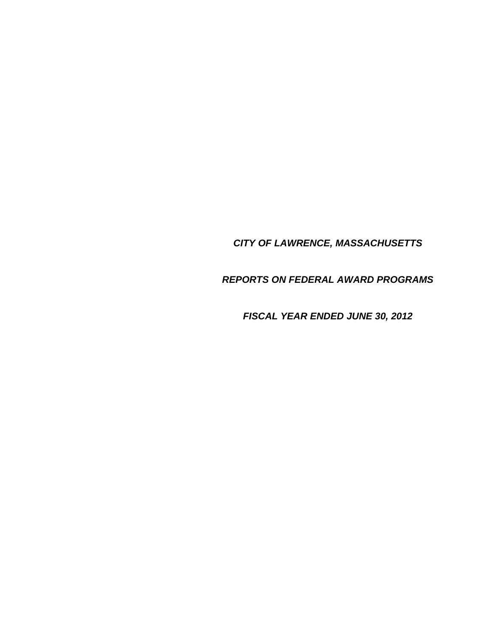## *CITY OF LAWRENCE, MASSACHUSETTS*

*REPORTS ON FEDERAL AWARD PROGRAMS* 

*FISCAL YEAR ENDED JUNE 30, 2012*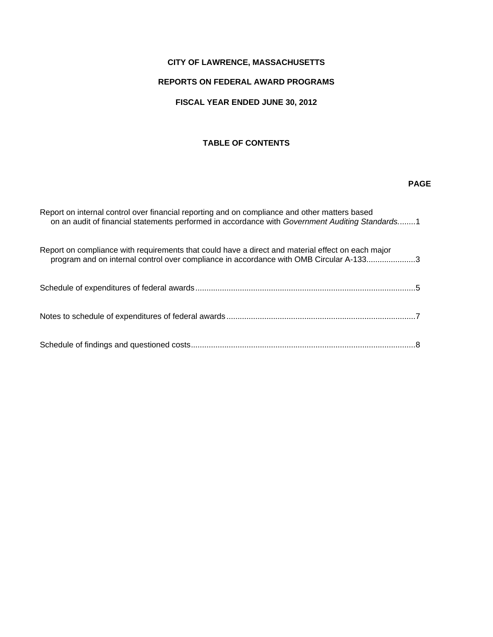## **CITY OF LAWRENCE, MASSACHUSETTS**

## **REPORTS ON FEDERAL AWARD PROGRAMS**

## **FISCAL YEAR ENDED JUNE 30, 2012**

## **TABLE OF CONTENTS**

#### *PAGE AND RESERVE AT A PAGE AND RESERVE AT A PAGE AND RESERVE*

| Report on internal control over financial reporting and on compliance and other matters based<br>on an audit of financial statements performed in accordance with Government Auditing Standards1 |  |
|--------------------------------------------------------------------------------------------------------------------------------------------------------------------------------------------------|--|
| Report on compliance with requirements that could have a direct and material effect on each major<br>program and on internal control over compliance in accordance with OMB Circular A-1333      |  |
|                                                                                                                                                                                                  |  |
|                                                                                                                                                                                                  |  |
|                                                                                                                                                                                                  |  |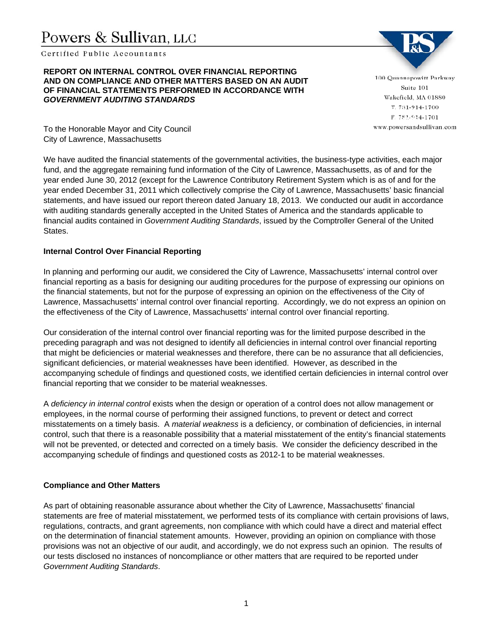# Powers & Sullivan, LLC

Certified Public Accountants

#### **REPORT ON INTERNAL CONTROL OVER FINANCIAL REPORTING AND ON COMPLIANCE AND OTHER MATTERS BASED ON AN AUDIT OF FINANCIAL STATEMENTS PERFORMED IN ACCORDANCE WITH**  *GOVERNMENT AUDITING STANDARDS*

100 Quannapowitt Parkway Suite 101 Wakefield, MA 01880 **Report on internal control over financial reporting and on compliance and other matters based on an audit of financial statements performed in accordance with** *Government Auditing Standards.*

To the Honorable Mayor and City Council City of Lawrence, Massachusetts

We have audited the financial statements of the governmental activities, the business-type activities, each major fund, and the aggregate remaining fund information of the City of Lawrence, Massachusetts, as of and for the year ended June 30, 2012 (except for the Lawrence Contributory Retirement System which is as of and for the year ended December 31, 2011 which collectively comprise the City of Lawrence, Massachusetts' basic financial statements, and have issued our report thereon dated January 18, 2013. We conducted our audit in accordance with auditing standards generally accepted in the United States of America and the standards applicable to financial audits contained in *Government Auditing Standards*, issued by the Comptroller General of the United States.

## **Internal Control Over Financial Reporting**

In planning and performing our audit, we considered the City of Lawrence, Massachusetts' internal control over financial reporting as a basis for designing our auditing procedures for the purpose of expressing our opinions on the financial statements, but not for the purpose of expressing an opinion on the effectiveness of the City of Lawrence, Massachusetts' internal control over financial reporting. Accordingly, we do not express an opinion on the effectiveness of the City of Lawrence, Massachusetts' internal control over financial reporting.

Our consideration of the internal control over financial reporting was for the limited purpose described in the preceding paragraph and was not designed to identify all deficiencies in internal control over financial reporting that might be deficiencies or material weaknesses and therefore, there can be no assurance that all deficiencies, significant deficiencies, or material weaknesses have been identified. However, as described in the accompanying schedule of findings and questioned costs, we identified certain deficiencies in internal control over financial reporting that we consider to be material weaknesses.

A *deficiency in internal control* exists when the design or operation of a control does not allow management or employees, in the normal course of performing their assigned functions, to prevent or detect and correct misstatements on a timely basis. A *material weakness* is a deficiency, or combination of deficiencies, in internal control, such that there is a reasonable possibility that a material misstatement of the entity's financial statements will not be prevented, or detected and corrected on a timely basis. We consider the deficiency described in the accompanying schedule of findings and questioned costs as 2012-1 to be material weaknesses.

## **Compliance and Other Matters**

As part of obtaining reasonable assurance about whether the City of Lawrence, Massachusetts' financial statements are free of material misstatement, we performed tests of its compliance with certain provisions of laws, regulations, contracts, and grant agreements, non compliance with which could have a direct and material effect on the determination of financial statement amounts. However, providing an opinion on compliance with those provisions was not an objective of our audit, and accordingly, we do not express such an opinion. The results of our tests disclosed no instances of noncompliance or other matters that are required to be reported under *Government Auditing Standards*.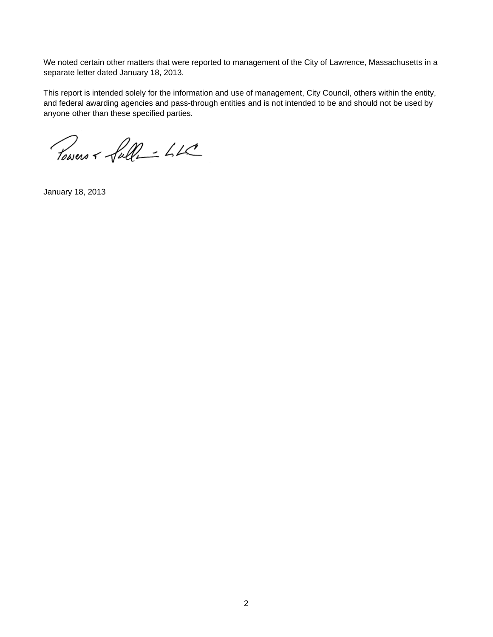We noted certain other matters that were reported to management of the City of Lawrence, Massachusetts in a separate letter dated January 18, 2013.

This report is intended solely for the information and use of management, City Council, others within the entity, and federal awarding agencies and pass-through entities and is not intended to be and should not be used by anyone other than these specified parties.

Powers + full- LK

January 18, 2013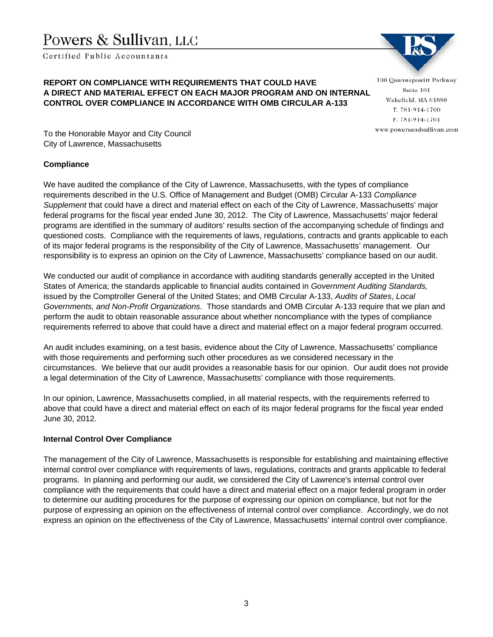# Powers & Sullivan. LLC

Certified Public Accountants

## **REPORT ON COMPLIANCE WITH REQUIREMENTS THAT COULD HAVE A DIRECT AND MATERIAL EFFECT ON EACH MAJOR PROGRAM AND ON INTERNAL CONTROL OVER COMPLIANCE IN ACCORDANCE WITH OMB CIRCULAR A-133**

100 Quannapowitt Parkway Suite 101 Wakefield, MA 01880 **Report on compliance with respect on**  $\mathbf{R}^n$  **and**  $\mathbf{R}^n$  **are a direct and matterial effect on each major**  $\mathbf{R}^n$ 

To the Honorable Mayor and City Council City of Lawrence, Massachusetts

## **Compliance**

We have audited the compliance of the City of Lawrence, Massachusetts, with the types of compliance requirements described in the U.S. Office of Management and Budget (OMB) Circular A-133 *Compliance Supplement* that could have a direct and material effect on each of the City of Lawrence, Massachusetts' major federal programs for the fiscal year ended June 30, 2012. The City of Lawrence, Massachusetts' major federal programs are identified in the summary of auditors' results section of the accompanying schedule of findings and questioned costs. Compliance with the requirements of laws, regulations, contracts and grants applicable to each of its major federal programs is the responsibility of the City of Lawrence, Massachusetts' management. Our responsibility is to express an opinion on the City of Lawrence, Massachusetts' compliance based on our audit.

We conducted our audit of compliance in accordance with auditing standards generally accepted in the United States of America; the standards applicable to financial audits contained in *Government Auditing Standards,* issued by the Comptroller General of the United States; and OMB Circular A-133, *Audits of States*, *Local Governments, and Non-Profit Organizations*. Those standards and OMB Circular A-133 require that we plan and perform the audit to obtain reasonable assurance about whether noncompliance with the types of compliance requirements referred to above that could have a direct and material effect on a major federal program occurred.

An audit includes examining, on a test basis, evidence about the City of Lawrence, Massachusetts' compliance with those requirements and performing such other procedures as we considered necessary in the circumstances. We believe that our audit provides a reasonable basis for our opinion. Our audit does not provide a legal determination of the City of Lawrence, Massachusetts' compliance with those requirements.

In our opinion, Lawrence, Massachusetts complied, in all material respects, with the requirements referred to above that could have a direct and material effect on each of its major federal programs for the fiscal year ended June 30, 2012.

## **Internal Control Over Compliance**

The management of the City of Lawrence, Massachusetts is responsible for establishing and maintaining effective internal control over compliance with requirements of laws, regulations, contracts and grants applicable to federal programs. In planning and performing our audit, we considered the City of Lawrence's internal control over compliance with the requirements that could have a direct and material effect on a major federal program in order to determine our auditing procedures for the purpose of expressing our opinion on compliance, but not for the purpose of expressing an opinion on the effectiveness of internal control over compliance. Accordingly, we do not express an opinion on the effectiveness of the City of Lawrence, Massachusetts' internal control over compliance.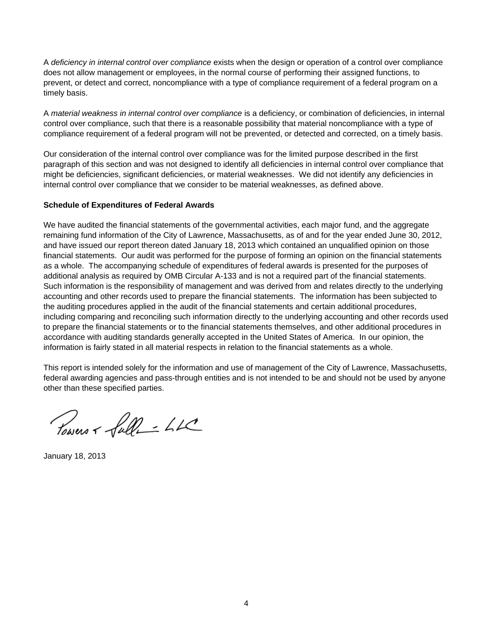A *deficiency in internal control over compliance* exists when the design or operation of a control over compliance does not allow management or employees, in the normal course of performing their assigned functions, to prevent, or detect and correct, noncompliance with a type of compliance requirement of a federal program on a timely basis.

A *material weakness in internal control over compliance* is a deficiency, or combination of deficiencies, in internal control over compliance, such that there is a reasonable possibility that material noncompliance with a type of compliance requirement of a federal program will not be prevented, or detected and corrected, on a timely basis.

Our consideration of the internal control over compliance was for the limited purpose described in the first paragraph of this section and was not designed to identify all deficiencies in internal control over compliance that might be deficiencies, significant deficiencies, or material weaknesses. We did not identify any deficiencies in internal control over compliance that we consider to be material weaknesses, as defined above.

## **Schedule of Expenditures of Federal Awards**

We have audited the financial statements of the governmental activities, each major fund, and the aggregate remaining fund information of the City of Lawrence, Massachusetts, as of and for the year ended June 30, 2012, and have issued our report thereon dated January 18, 2013 which contained an unqualified opinion on those financial statements. Our audit was performed for the purpose of forming an opinion on the financial statements as a whole. The accompanying schedule of expenditures of federal awards is presented for the purposes of additional analysis as required by OMB Circular A-133 and is not a required part of the financial statements. Such information is the responsibility of management and was derived from and relates directly to the underlying accounting and other records used to prepare the financial statements. The information has been subjected to the auditing procedures applied in the audit of the financial statements and certain additional procedures, including comparing and reconciling such information directly to the underlying accounting and other records used to prepare the financial statements or to the financial statements themselves, and other additional procedures in accordance with auditing standards generally accepted in the United States of America. In our opinion, the information is fairly stated in all material respects in relation to the financial statements as a whole.

This report is intended solely for the information and use of management of the City of Lawrence, Massachusetts, federal awarding agencies and pass-through entities and is not intended to be and should not be used by anyone other than these specified parties.

Powers + full- LL

January 18, 2013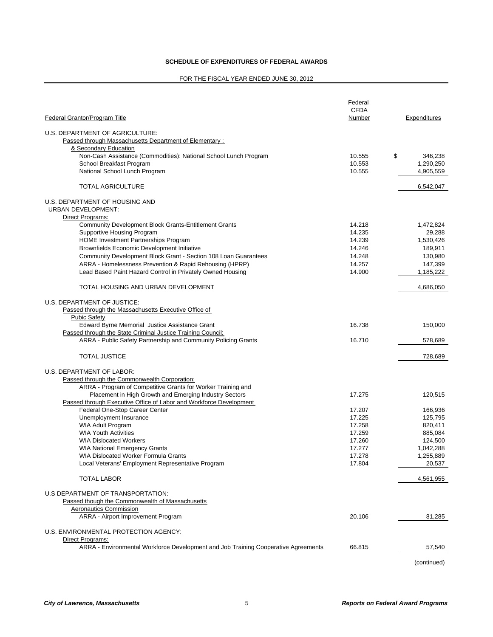#### **SCHEDULE OF EXPENDITURES OF FEDERAL AWARDS**

#### FOR THE FISCAL YEAR ENDED JUNE 30, 2012

| Federal Grantor/Program Title                                                      | Federal<br><b>CFDA</b><br>Number | Expenditures  |
|------------------------------------------------------------------------------------|----------------------------------|---------------|
|                                                                                    |                                  |               |
| U.S. DEPARTMENT OF AGRICULTURE:                                                    |                                  |               |
| Passed through Massachusetts Department of Elementary:<br>& Secondary Education    |                                  |               |
| Non-Cash Assistance (Commodities): National School Lunch Program                   | 10.555                           | \$<br>346,238 |
| School Breakfast Program                                                           | 10.553                           | 1,290,250     |
| National School Lunch Program                                                      | 10.555                           | 4,905,559     |
| <b>TOTAL AGRICULTURE</b>                                                           |                                  | 6,542,047     |
|                                                                                    |                                  |               |
| U.S. DEPARTMENT OF HOUSING AND<br><b>URBAN DEVELOPMENT:</b>                        |                                  |               |
| Direct Programs:                                                                   |                                  |               |
| <b>Community Development Block Grants-Entitlement Grants</b>                       | 14.218                           | 1,472,824     |
| Supportive Housing Program                                                         | 14.235                           | 29,288        |
| <b>HOME Investment Partnerships Program</b>                                        | 14.239                           | 1,530,426     |
| <b>Brownfields Economic Development Initiative</b>                                 | 14.246                           | 189,911       |
| Community Development Block Grant - Section 108 Loan Guarantees                    | 14.248                           | 130,980       |
| ARRA - Homelessness Prevention & Rapid Rehousing (HPRP)                            | 14.257                           | 147,399       |
| Lead Based Paint Hazard Control in Privately Owned Housing                         | 14.900                           | 1,185,222     |
| TOTAL HOUSING AND URBAN DEVELOPMENT                                                |                                  | 4,686,050     |
|                                                                                    |                                  |               |
| U.S. DEPARTMENT OF JUSTICE:                                                        |                                  |               |
| Passed through the Massachusetts Executive Office of                               |                                  |               |
| <b>Pubic Safety</b><br>Edward Byrne Memorial Justice Assistance Grant              | 16.738                           | 150,000       |
| Passed through the State Criminal Justice Training Council:                        |                                  |               |
| ARRA - Public Safety Partnership and Community Policing Grants                     | 16.710                           | 578,689       |
| <b>TOTAL JUSTICE</b>                                                               |                                  | 728,689       |
| U.S. DEPARTMENT OF LABOR:                                                          |                                  |               |
| Passed through the Commonwealth Corporation:                                       |                                  |               |
| ARRA - Program of Competitive Grants for Worker Training and                       |                                  |               |
| Placement in High Growth and Emerging Industry Sectors                             | 17.275                           | 120,515       |
| Passed through Executive Office of Labor and Workforce Development                 |                                  |               |
| Federal One-Stop Career Center                                                     | 17.207                           | 166,936       |
| Unemployment Insurance                                                             | 17.225                           | 125,795       |
| WIA Adult Program                                                                  | 17.258                           | 820,411       |
| <b>WIA Youth Activities</b>                                                        | 17.259                           | 885,084       |
| <b>WIA Dislocated Workers</b>                                                      | 17.260                           | 124,500       |
| WIA National Emergency Grants                                                      | 17.277                           | 1,042,288     |
| WIA Dislocated Worker Formula Grants                                               | 17.278                           | 1,255,889     |
| Local Veterans' Employment Representative Program                                  | 17.804                           | 20,537        |
| <b>TOTAL LABOR</b>                                                                 |                                  | 4,561,955     |
| U.S DEPARTMENT OF TRANSPORTATION:                                                  |                                  |               |
| Passed though the Commonwealth of Massachusetts                                    |                                  |               |
| Aeronautics Commission                                                             |                                  |               |
| ARRA - Airport Improvement Program                                                 | 20.106                           | 81,285        |
| U.S. ENVIRONMENTAL PROTECTION AGENCY:                                              |                                  |               |
| Direct Programs:                                                                   |                                  |               |
| ARRA - Environmental Workforce Development and Job Training Cooperative Agreements | 66.815                           | 57,540        |

(continued)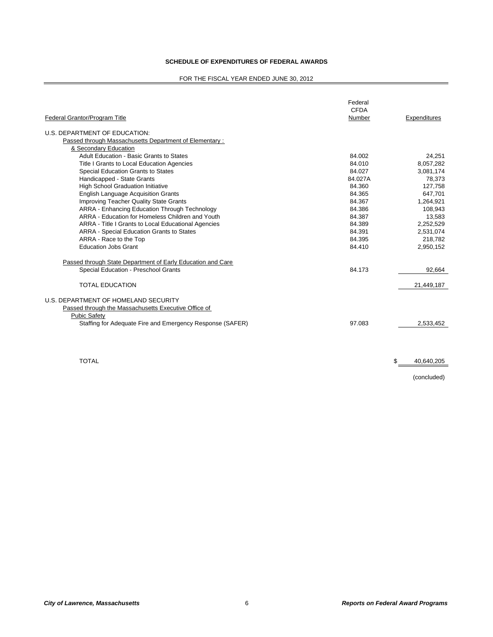#### **SCHEDULE OF EXPENDITURES OF FEDERAL AWARDS**

#### FOR THE FISCAL YEAR ENDED JUNE 30, 2012

| Federal Grantor/Program Title                               | Federal<br><b>CFDA</b><br>Number | Expenditures |
|-------------------------------------------------------------|----------------------------------|--------------|
| U.S. DEPARTMENT OF EDUCATION:                               |                                  |              |
| Passed through Massachusetts Department of Elementary:      |                                  |              |
| & Secondary Education                                       |                                  |              |
| Adult Education - Basic Grants to States                    | 84.002                           | 24,251       |
| Title I Grants to Local Education Agencies                  | 84.010                           | 8,057,282    |
| Special Education Grants to States                          | 84.027                           | 3,081,174    |
| Handicapped - State Grants                                  | 84.027A                          | 78.373       |
| <b>High School Graduation Initiative</b>                    | 84.360                           | 127,758      |
| <b>English Language Acquisition Grants</b>                  | 84.365                           | 647,701      |
| <b>Improving Teacher Quality State Grants</b>               | 84.367                           | 1,264,921    |
| ARRA - Enhancing Education Through Technology               | 84.386                           | 108,943      |
| ARRA - Education for Homeless Children and Youth            | 84.387                           | 13,583       |
| ARRA - Title I Grants to Local Educational Agencies         | 84.389                           | 2,252,529    |
| <b>ARRA - Special Education Grants to States</b>            | 84.391                           | 2,531,074    |
| ARRA - Race to the Top                                      | 84.395                           | 218.782      |
| <b>Education Jobs Grant</b>                                 | 84.410                           | 2,950,152    |
| Passed through State Department of Early Education and Care |                                  |              |
| Special Education - Preschool Grants                        | 84.173                           | 92,664       |
| <b>TOTAL EDUCATION</b>                                      |                                  | 21,449,187   |
| U.S. DEPARTMENT OF HOMELAND SECURITY                        |                                  |              |
| Passed through the Massachusetts Executive Office of        |                                  |              |
| <b>Pubic Safety</b>                                         |                                  |              |
| Staffing for Adequate Fire and Emergency Response (SAFER)   | 97.083                           | 2,533,452    |
|                                                             |                                  |              |

 $\texttt{TOTAL} \quad \texttt{\$} \quad \texttt{40,640,205}$ 

(concluded)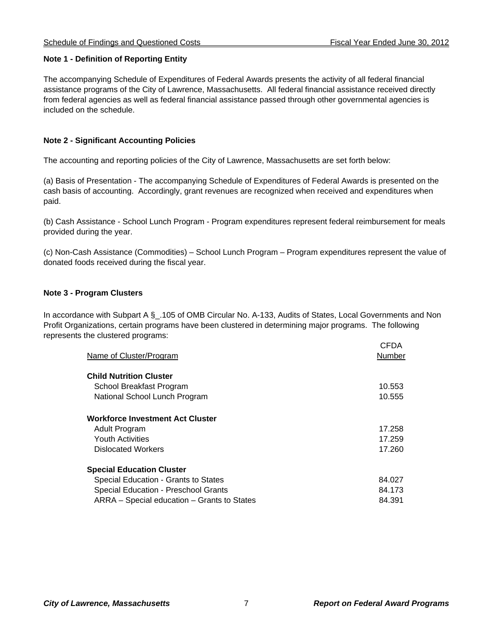## **Note 1 - Definition of Reporting Entity**

The accompanying Schedule of Expenditures of Federal Awards presents the activity of all federal financial assistance programs of the City of Lawrence, Massachusetts. All federal financial assistance received directly from federal agencies as well as federal financial assistance passed through other governmental agencies is included on the schedule.

## **Note 2 - Significant Accounting Policies**

The accounting and reporting policies of the City of Lawrence, Massachusetts are set forth below:

(a) Basis of Presentation - The accompanying Schedule of Expenditures of Federal Awards is presented on the cash basis of accounting. Accordingly, grant revenues are recognized when received and expenditures when paid.

(b) Cash Assistance - School Lunch Program - Program expenditures represent federal reimbursement for meals provided during the year.

(c) Non-Cash Assistance (Commodities) – School Lunch Program – Program expenditures represent the value of donated foods received during the fiscal year.

## **Note 3 - Program Clusters**

In accordance with Subpart A § .105 of OMB Circular No. A-133, Audits of States, Local Governments and Non Profit Organizations, certain programs have been clustered in determining major programs. The following represents the clustered programs:

| Name of Cluster/Program                     | CFDA<br>Number |
|---------------------------------------------|----------------|
| <b>Child Nutrition Cluster</b>              |                |
| School Breakfast Program                    | 10.553         |
| National School Lunch Program               | 10.555         |
| <b>Workforce Investment Act Cluster</b>     |                |
| Adult Program                               | 17.258         |
| <b>Youth Activities</b>                     | 17.259         |
| <b>Dislocated Workers</b>                   | 17.260         |
| <b>Special Education Cluster</b>            |                |
| Special Education - Grants to States        | 84.027         |
| Special Education - Preschool Grants        | 84.173         |
| ARRA – Special education – Grants to States | 84.391         |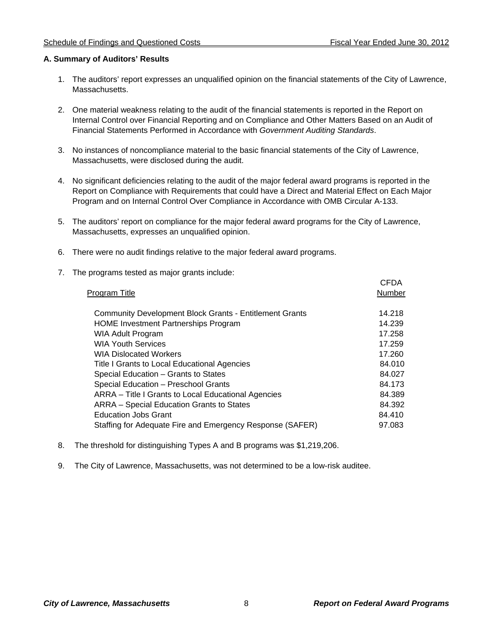### **A. Summary of Auditors' Results**

- 1. The auditors' report expresses an unqualified opinion on the financial statements of the City of Lawrence, Massachusetts.
- 2. One material weakness relating to the audit of the financial statements is reported in the Report on Internal Control over Financial Reporting and on Compliance and Other Matters Based on an Audit of Financial Statements Performed in Accordance with *Government Auditing Standards*.
- 3. No instances of noncompliance material to the basic financial statements of the City of Lawrence, Massachusetts, were disclosed during the audit.
- 4. No significant deficiencies relating to the audit of the major federal award programs is reported in the Report on Compliance with Requirements that could have a Direct and Material Effect on Each Major Program and on Internal Control Over Compliance in Accordance with OMB Circular A-133.
- 5. The auditors' report on compliance for the major federal award programs for the City of Lawrence, Massachusetts, expresses an unqualified opinion.
- 6. There were no audit findings relative to the major federal award programs.
- 7. The programs tested as major grants include:

| Program Title                                                  | <b>CFDA</b><br>Number |
|----------------------------------------------------------------|-----------------------|
| <b>Community Development Block Grants - Entitlement Grants</b> | 14.218                |
| <b>HOME Investment Partnerships Program</b>                    | 14.239                |
| <b>WIA Adult Program</b>                                       | 17.258                |
| <b>WIA Youth Services</b>                                      | 17.259                |
| <b>WIA Dislocated Workers</b>                                  | 17.260                |
| Title I Grants to Local Educational Agencies                   | 84.010                |
| Special Education - Grants to States                           | 84.027                |
| Special Education - Preschool Grants                           | 84.173                |
| ARRA – Title I Grants to Local Educational Agencies            | 84.389                |
| ARRA - Special Education Grants to States                      | 84.392                |
| <b>Education Jobs Grant</b>                                    | 84.410                |
| Staffing for Adequate Fire and Emergency Response (SAFER)      | 97.083                |
|                                                                |                       |

- 8. The threshold for distinguishing Types A and B programs was \$1,219,206.
- 9. The City of Lawrence, Massachusetts, was not determined to be a low-risk auditee.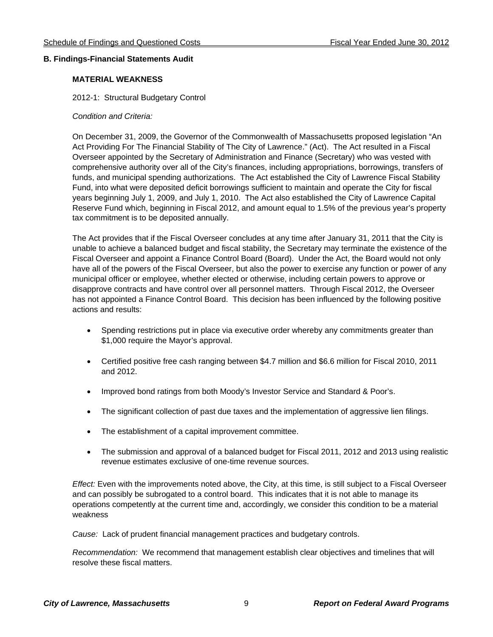#### **B. Findings-Financial Statements Audit**

### **MATERIAL WEAKNESS**

2012-1: Structural Budgetary Control

#### *Condition and Criteria:*

On December 31, 2009, the Governor of the Commonwealth of Massachusetts proposed legislation "An Act Providing For The Financial Stability of The City of Lawrence." (Act). The Act resulted in a Fiscal Overseer appointed by the Secretary of Administration and Finance (Secretary) who was vested with comprehensive authority over all of the City's finances, including appropriations, borrowings, transfers of funds, and municipal spending authorizations. The Act established the City of Lawrence Fiscal Stability Fund, into what were deposited deficit borrowings sufficient to maintain and operate the City for fiscal years beginning July 1, 2009, and July 1, 2010. The Act also established the City of Lawrence Capital Reserve Fund which, beginning in Fiscal 2012, and amount equal to 1.5% of the previous year's property tax commitment is to be deposited annually.

The Act provides that if the Fiscal Overseer concludes at any time after January 31, 2011 that the City is unable to achieve a balanced budget and fiscal stability, the Secretary may terminate the existence of the Fiscal Overseer and appoint a Finance Control Board (Board). Under the Act, the Board would not only have all of the powers of the Fiscal Overseer, but also the power to exercise any function or power of any municipal officer or employee, whether elected or otherwise, including certain powers to approve or disapprove contracts and have control over all personnel matters. Through Fiscal 2012, the Overseer has not appointed a Finance Control Board. This decision has been influenced by the following positive actions and results:

- Spending restrictions put in place via executive order whereby any commitments greater than \$1,000 require the Mayor's approval.
- Certified positive free cash ranging between \$4.7 million and \$6.6 million for Fiscal 2010, 2011 and 2012.
- Improved bond ratings from both Moody's Investor Service and Standard & Poor's.
- The significant collection of past due taxes and the implementation of aggressive lien filings.
- The establishment of a capital improvement committee.
- The submission and approval of a balanced budget for Fiscal 2011, 2012 and 2013 using realistic revenue estimates exclusive of one-time revenue sources.

*Effect:* Even with the improvements noted above, the City, at this time, is still subject to a Fiscal Overseer and can possibly be subrogated to a control board. This indicates that it is not able to manage its operations competently at the current time and, accordingly, we consider this condition to be a material weakness

*Cause:* Lack of prudent financial management practices and budgetary controls.

*Recommendation:* We recommend that management establish clear objectives and timelines that will resolve these fiscal matters.